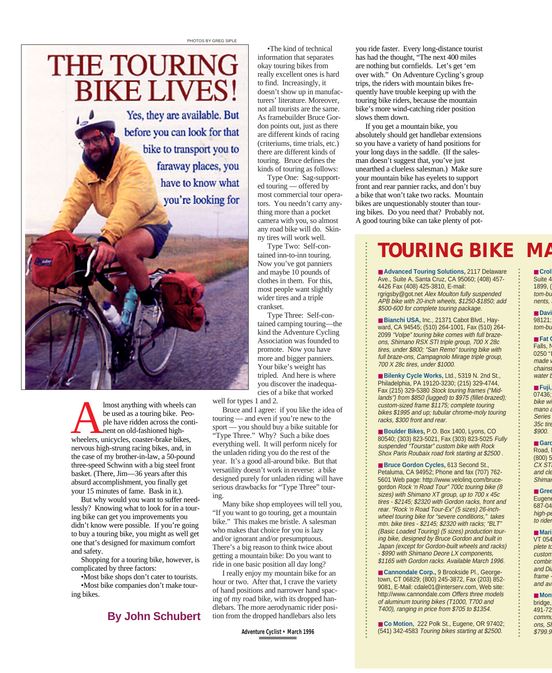

Imost anything with wheels can<br>be used as a touring bike. Peo-<br>ple have ridden across the conti-<br>nent on old-fashioned high-<br>wheelers, unicycles, coaster-brake bikes, be used as a touring bike. People have ridden across the continent on old-fashioned highwheelers, unicycles, coaster-brake bikes, nervous high-strung racing bikes, and, in the case of my brother-in-law, a 50-pound three-speed Schwinn with a big steel front basket. (There, Jim—36 years after this absurd accomplishment, you finally get your 15 minutes of fame. Bask in it.).

But why would you want to suffer needlessly? Knowing what to look for in a touring bike can get you improvements you didn't know were possible. If you're going to buy a touring bike, you might as well get one that's designed for maximum comfort and safety.

Shopping for a touring bike, however, is complicated by three factors:

•Most bike shops don't cater to tourists. •Most bike companies don't make touring bikes.

## **By John Schubert**

•The kind of technical information that separates okay touring bikes from really excellent ones is hard to find. Increasingly, it doesn't show up in manufacturers' literature. Moreover, not all tourists are the same. As framebuilder Bruce Gordon points out, just as there are different kinds of racing (criteriums, time trials, etc.) there are different kinds of touring. Bruce defines the kinds of touring as follows:

Type One: Sag-supported touring — offered by most commercial tour operators. You needn't carry anything more than a pocket camera with you, so almost any road bike will do. Skinny tires will work well.

Type Two: Self-contained inn-to-inn touring. Now you've got panniers and maybe 10 pounds of clothes in them. For this, most people want slightly wider tires and a triple crankset.

Type Three: Self-contained camping touring—the kind the Adventure Cycling Association was founded to promote. Now you have more and bigger panniers. Your bike's weight has tripled. And here is where you discover the inadequacies of a bike that worked

well for types 1 and 2.

Bruce and I agree: if you like the idea of touring — and even if you're new to the sport — you should buy a bike suitable for "Type Three." Why? Such a bike does everything well. It will perform nicely for the unladen riding you do the rest of the year. It's a good all-around bike. But that versatility doesn't work in reverse: a bike designed purely for unladen riding will have serious drawbacks for "Type Three" touring.

Many bike shop employees will tell you, "If you want to go touring, get a mountain bike." This makes me bristle. A salesman who makes that choice for you is lazy and/or ignorant and/or presumptuous. There's a big reason to think twice about getting a mountain bike: Do you want to ride in one basic position all day long?

I really enjoy my mountain bike for an hour or two. After that, I crave the variety of hand positions and narrower hand spacing of my road bike, with its dropped handlebars. The more aerodynamic rider position from the dropped handlebars also lets

**Adventure Cyclist • March 1996**

you ride faster. Every long-distance tourist has had the thought, "The next 400 miles are nothing but cornfields. Let's get 'em over with." On Adventure Cycling's group trips, the riders with mountain bikes frequently have trouble keeping up with the touring bike riders, because the mountain bike's more wind-catching rider position slows them down.

If you get a mountain bike, you absolutely should get handlebar extensions so you have a variety of hand positions for your long days in the saddle. (If the salesman doesn't suggest that, you've just unearthed a clueless salesman.) Make sure your mountain bike has eyelets to support front and rear pannier racks, and don't buy a bike that won't take two racks. Mountain bikes are unquestionably stouter than touring bikes. Do you need that? Probably not. A good touring bike can take plenty of pot-

# **TOURING BIKE MA**

■ **Advanced Touring Solutions, 2117 Delaware** Ave., Suite A, Santa Cruz, CA 95060; (408) 457- 4426 Fax (408) 425-3810, E-mail: rgrigsby@got.net Alex Moulton fully suspended APB bike with 20-inch wheels, \$1250-\$1850; add \$500-600 for complete touring package.

■ **Bianchi USA,** Inc., 21371 Cabot Blvd., Hayward, CA 94545; (510) 264-1001, Fax (510) 264- 2099 "Volpe" touring bike comes with full brazeons, Shimano RSX STI triple group, 700 X 28c tires, under \$800; "San Remo" touring bike with full braze-ons, Campagnolo Mirage triple group, 700 X 28c tires, under \$1000.

■ **Bilenky Cycle Works, Ltd., 5319 N. 2nd St.,** Philadelphia, PA 19120-3230; (215) 329-4744, Fax (215) 329-5380 Stock touring frames ("Midlands") from \$850 (lugged) to \$975 (fillet-brazed); custom-sized frame \$1175; complete touring bikes \$1995 and up; tubular chrome-moly touring racks, \$300 front and rear.

■ **Boulder Bikes, P.O. Box 1400, Lyons, CO** 80540; (303) 823-5021, Fax (303) 823-5025 Fully suspended "Tourstar" custom bike with Rock Shox Paris Roubaix road fork starting at \$2500 .

■ **Bruce Gordon Cycles, 613 Second St.,** Petaluma, CA 94952; Phone and fax (707) 762- 5601 Web page: http://www.velolinq.com/brucegordon Rock 'n Road Tour" 700c touring bike (8 sizes) with Shimano XT group, up to 700 x 45c tires - \$2145; \$2320 with Gordon racks, front and rear. "Rock 'n Road Tour-Ex" (5 sizes) 26-inchwheel touring bike for "severe conditions," takes mtn. bike tires - \$2145; \$2320 with racks; "BLT" (Basic Loaded Touring) (5 sizes) production touring bike, designed by Bruce Gordon and built in Japan (except for Gordon-built wheels and racks) - \$990 with Shimano Deore LX components, \$1165 with Gordon racks. Available March 1996.

■ Cannondale Corp., 9 Brookside Pl., Georgetown, CT 06829; (800) 245-3872, Fax (203) 852- 9081, E-Mail: cdale01@interserv.com, Web site: http://www.cannondale.com Offers three models of aluminum touring bikes (T1000, T700 and T400), ranging in price from \$705 to \$1354.

■ Co Motion, 222 Polk St., Eugene, OR 97402; (541) 342-4583 Touring bikes starting at \$2500.

#### ■ Crol Suite 4 1899, ( tom-bu nents.

■ **Davi** 98121; tom-bu

■ **Fat C** Falls, N 0250 " made i chains water b

#### ■ **Fuji,** 07436;

bike wi mano a Series 35c tire \$900.

## ■ Gard

Road, (800) 5 CX ST and cle Shimai

#### ■ **Gree Eugen**

687-04 high-pe to rider

#### ■ **Mari** VT 054

plete to custom combin and Dia frame and av

### ■ Mon

bridge, 491-72 commu ons, Si \$799.9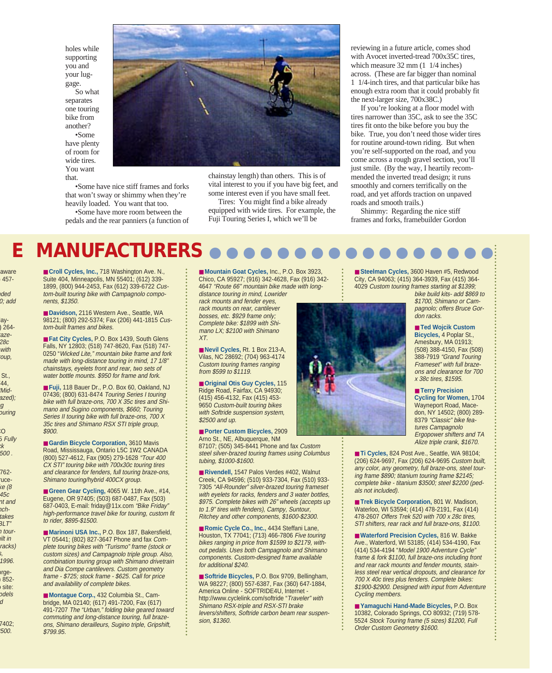holes while supporting you and your luggage. So what

separates one touring bike from another? •Some have plenty of room for wide tires. You want that.

•Some have nice stiff frames and forks that won't sway or shimmy when they're heavily loaded. You want that too.

•Some have more room between the pedals and the rear panniers (a function of



chainstay length) than others. This is of vital interest to you if you have big feet, and some interest even if you have small feet.

Tires: You might find a bike already equipped with wide tires. For example, the Fuji Touring Series I, which we'll be

reviewing in a future article, comes shod with Avocet inverted-tread 700x35C tires. which measure 32 mm  $(1 \t1/4 \text{ inches})$ across. (These are far bigger than nominal 1 1/4-inch tires, and that particular bike has enough extra room that it could probably fit the next-larger size, 700x38C.)

If you're looking at a floor model with tires narrower than 35C, ask to see the 35C tires fit onto the bike before you buy the bike. True, you don't need those wider tires for routine around-town riding. But when you're self-supported on the road, and you come across a rough gravel section, you'll just smile. (By the way, I heartily recommended the inverted tread design; it runs smoothly and corners terrifically on the road, and yet affords traction on unpaved roads and smooth trails.)

Shimmy: Regarding the nice stiff frames and forks, framebuilder Gordon

# **E MANUFACTURERS**

aware ) 457-

nded 0; add

lay-) 264 raze-28c with roup,

St., 744, "Midazed);  $\overline{g}$ ouring

CO 5 Fully ck 2500 .

762 ruceke (8 45c nt and nchtakes BLT" n touruilt in racks) s, 1996.

orge- ) 852 site: odels d

7402; 2500.

■ Croll Cycles, Inc., 718 Washington Ave. N., Suite 404, Minneapolis, MN 55401; (612) 339- 1899, (800) 944-2453, Fax (612) 339-6722 Custom-built touring bike with Campagnolo components, \$1350.

■ **Davidson**, 2116 Western Ave., Seattle, WA 98121; (800) 292-5374; Fax (206) 441-1815 Custom-built frames and bikes.

■ **Fat City Cycles, P.O. Box 1439, South Glens** Falls, NY 12803; (518) 747-8620, Fax (518) 747- 0250 "Wicked Lite," mountain bike frame and fork made with long-distance touring in mind, 17 1/8" chainstays, eyelets front and rear, two sets of water bottle mounts. \$950 for frame and fork.

■ **Fuji,** 118 Bauer Dr., P.O. Box 60, Oakland, NJ 07436; (800) 631-8474 Touring Series I touring bike with full braze-ons, 700 X 35c tires and Shimano and Sugino components, \$660; Touring Series II touring bike with full braze-ons, 700 X 35c tires and Shimano RSX STI triple group, \$900.

■ Gardin Bicycle Corporation, 3610 Mavis Road, Mississauga, Ontario L5C 1W2 CANADA (800) 527-4612, Fax (905) 279-1628 "Tour 400 CX STI" touring bike with 700x30c touring tires and clearance for fenders, full touring braze-ons, Shimano touring/hybrid 400CX group.

■ **Green Gear Cycling,** 4065 W. 11th Ave., #14, Eugene, OR 97405; (503) 687-0487, Fax (503) 687-0403, E-mail: friday@11x.com "Bike Friday" high-performance travel bike for touring, custom fit to rider, \$895-\$1500.

■ Marinoni USA Inc., P.O. Box 187, Bakersfield, VT 05441; (802) 827-3647 Phone and fax Complete touring bikes with "Turismo" frame (stock or custom sizes) and Campagnolo triple group. Also, combination touring group with Shimano drivetrain and Dia Compe cantilevers. Custom geometry frame - \$725; stock frame - \$625. Call for price and availability of complete bikes.

■ Montague Corp., 432 Columbia St., Cambridge, MA 02140; (617) 491-7200, Fax (617) 491-7207 The "Urban," folding bike geared toward commuting and long-distance touring, full brazeons, Shimano derailleurs, Sugino triple, Gripshift, \$799.95.

■ Mountain Goat Cycles, Inc., P.O. Box 3923, Chico, CA 95927; (916) 342-4628, Fax (916) 342- 4647 "Route 66" mountain bike made with longdistance touring in mind, Lowrider

rack mounts and fender eyes, rack mounts on rear, cantilever bosses, etc. \$929 frame only; Complete bike: \$1899 with Shimano LX; \$2100 with Shimano XT.

■ **Nevil Cycles**, Rt. 1 Box 213-A, Vilas, NC 28692; (704) 963-4174 Custom touring frames ranging from \$599 to \$1119.

■ **Original Otis Guy Cycles**, 115 Ridge Road, Fairfax, CA 94930; (415) 456-4132, Fax (415) 453- 9650 Custom-built touring bikes with Softride suspension system, \$2500 and up.

■ **Porter Custom Bicycles**, 2909 Arno St., NE, Albuquerque, NM 87107; (505) 345-8441 Phone and fax Custom

steel silver-brazed touring frames using Columbus tubing, \$1000-\$1600.

■ Rivendell, 1547 Palos Verdes #402, Walnut Creek, CA 94596; (510) 933-7304, Fax (510) 933- 7305 "All-Rounder" silver-brazed touring frameset with eyelets for racks, fenders and 3 water bottles, \$975. Complete bikes with 26" wheels (accepts up to 1.9" tires with fenders), Campy, Suntour, Ritchey and other components, \$1600-\$2300.

■ **Romic Cycle Co., Inc., 4434 Steffani Lane,** Houston, TX 77041; (713) 466-7806 Five touring bikes ranging in price from \$1599 to \$2179, without pedals. Uses both Campagnolo and Shimano components. Custom-designed frame available for additional \$240.

■ **Softride Bicycles, P.O. Box 9709, Bellingham,** WA 98227; (800) 557-6387, Fax (360) 647-1884, America Online - SOFTRIDE4U, Internet http://www.cyclelink.com/softride "Traveler" with Shimano RSX-triple and RSX-STI brake levers/shifters, Softride carbon beam rear suspension, \$1360.

■ Steelman Cycles, 3600 Haven #5, Redwood City, CA 94063; (415) 364-3939, Fax (415) 364- 4029 Custom touring frames starting at \$1399; bike build kits- add \$869 to

\$1700, Shimano or Campagnolo; offers Bruce Gordon racks.

### ■ **Ted Wojcik Custom**

**Bicycles,** 4 Poplar St., Amesbury, MA 01913; (508) 388-4150, Fax (508) 388-7919 "Grand Touring Frameset" with full brazeons and clearance for 700 x 38c tires, \$1595.

#### ■ **Terry Precision**

**Cycling for Women,** 1704 Wayneport Road, Macedon, NY 14502; (800) 289- 8379 "Classic" bike features Campagnolo Ergopower shifters and TA Alize triple crank, \$1670.

■ **Ti Cycles, 824 Post Ave., Seattle, WA 98104;** (206) 624-9697, Fax (206) 624-9695 Custom built, any color, any geometry, full braze-ons, steel touring frame \$890; titanium touring frame \$2145; complete bike - titanium \$3500; steel \$2200 (pedals not included).

■ **Trek Bicycle Corporation,** 801 W. Madison, Waterloo, WI 53594; (414) 478-2191, Fax (414) 478-2607 Offers Trek 520 with 700 x 28c tires, STI shifters, rear rack and full braze-ons, \$1100.

■ Waterford Precision Cycles, 816 W. Bakke Ave., Waterford, WI 53185; (414) 534-4190, Fax (414) 534-4194 "Model 1900 Adventure Cycle" frame & fork \$1100, full braze-ons including front and rear rack mounts and fender mounts, stainless steel rear vertical dropouts, and clearance for 700 X 40c tires plus fenders. Complete bikes: \$1900-\$2900. Designed with input from Adventure Cycling members.

■ Yamaguchi Hand-Made Bicycles, P.O. Box 10382, Colorado Springs, CO 80932; (719) 578- 5524 Stock Touring frame (5 sizes) \$1200, Full Order Custom Geometry \$1600.